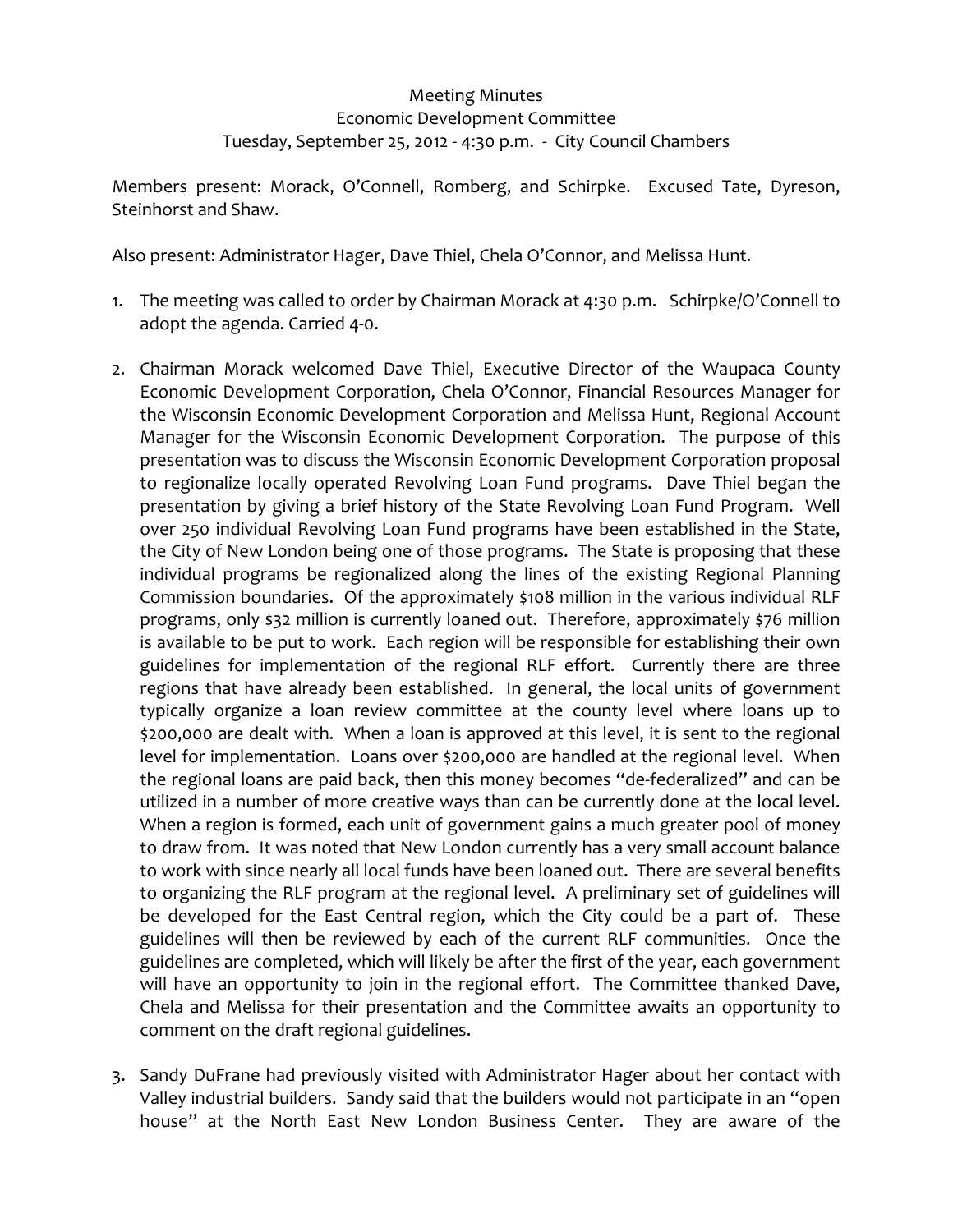## Meeting Minutes Economic Development Committee Tuesday, September 25, 2012 ‐ 4:30 p.m. ‐ City Council Chambers

Members present: Morack, O'Connell, Romberg, and Schirpke. Excused Tate, Dyreson, Steinhorst and Shaw.

Also present: Administrator Hager, Dave Thiel, Chela O'Connor, and Melissa Hunt.

- 1. The meeting was called to order by Chairman Morack at 4:30 p.m. Schirpke/O'Connell to adopt the agenda. Carried 4‐0.
- 2. Chairman Morack welcomed Dave Thiel, Executive Director of the Waupaca County Economic Development Corporation, Chela O'Connor, Financial Resources Manager for the Wisconsin Economic Development Corporation and Melissa Hunt, Regional Account Manager for the Wisconsin Economic Development Corporation. The purpose of this presentation was to discuss the Wisconsin Economic Development Corporation proposal to regionalize locally operated Revolving Loan Fund programs. Dave Thiel began the presentation by giving a brief history of the State Revolving Loan Fund Program. Well over 250 individual Revolving Loan Fund programs have been established in the State, the City of New London being one of those programs. The State is proposing that these individual programs be regionalized along the lines of the existing Regional Planning Commission boundaries. Of the approximately \$108 million in the various individual RLF programs, only \$32 million is currently loaned out. Therefore, approximately \$76 million is available to be put to work. Each region will be responsible for establishing their own guidelines for implementation of the regional RLF effort. Currently there are three regions that have already been established. In general, the local units of government typically organize a loan review committee at the county level where loans up to \$200,000 are dealt with. When a loan is approved at this level, it is sent to the regional level for implementation. Loans over \$200,000 are handled at the regional level. When the regional loans are paid back, then this money becomes "de‐federalized" and can be utilized in a number of more creative ways than can be currently done at the local level. When a region is formed, each unit of government gains a much greater pool of money to draw from. It was noted that New London currently has a very small account balance to work with since nearly all local funds have been loaned out. There are several benefits to organizing the RLF program at the regional level. A preliminary set of guidelines will be developed for the East Central region, which the City could be a part of. These guidelines will then be reviewed by each of the current RLF communities. Once the guidelines are completed, which will likely be after the first of the year, each government will have an opportunity to join in the regional effort. The Committee thanked Dave, Chela and Melissa for their presentation and the Committee awaits an opportunity to comment on the draft regional guidelines.
- 3. Sandy DuFrane had previously visited with Administrator Hager about her contact with Valley industrial builders. Sandy said that the builders would not participate in an "open house" at the North East New London Business Center. They are aware of the